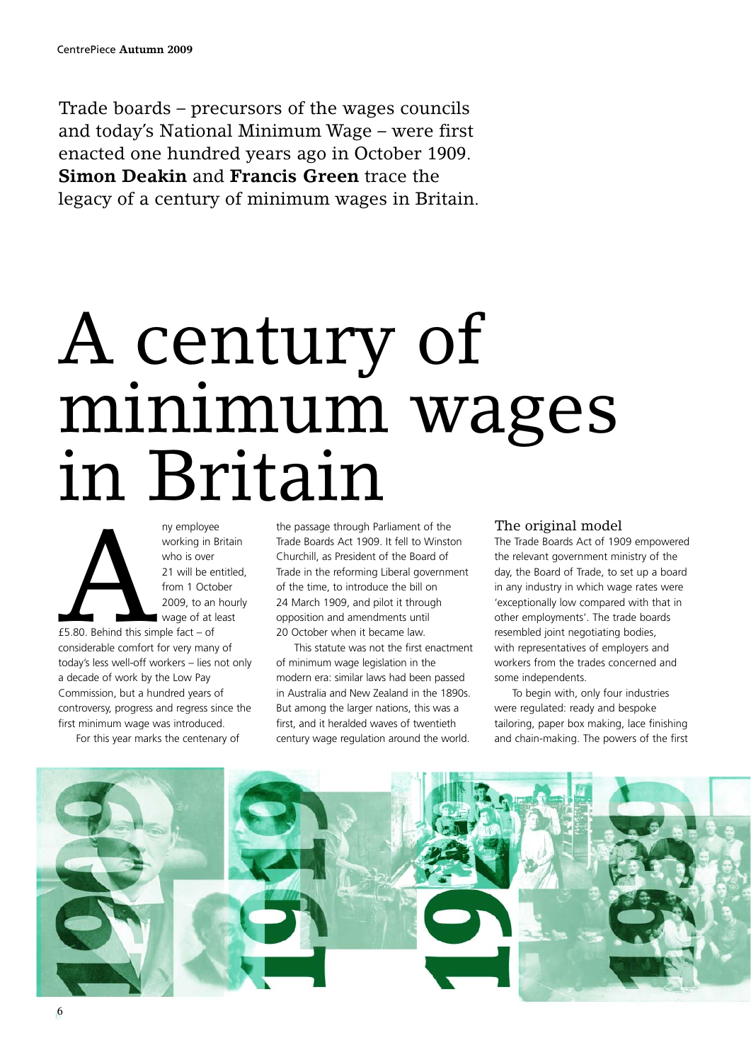Trade boards – precursors of the wages councils and today's National Minimum Wage – were first enacted one hundred years ago in October 1909. **Simon Deakin** and **Francis Green** trace the legacy of a century of minimum wages in Britain.

## A century of minimum wages in Britain



working in Britain who is over 21 will be entitled, from 1 October 2009, to an hourly wage of at least

£5.80. Behind this simple fact – of considerable comfort for very many of today's less well-off workers – lies not only a decade of work by the Low Pay Commission, but a hundred years of controversy, progress and regress since the first minimum wage was introduced.

For this year marks the centenary of

the passage through Parliament of the Trade Boards Act 1909. It fell to Winston Churchill, as President of the Board of Trade in the reforming Liberal government of the time, to introduce the bill on 24 March 1909, and pilot it through opposition and amendments until 20 October when it became law.

This statute was not the first enactment of minimum wage legislation in the modern era: similar laws had been passed in Australia and New Zealand in the 1890s. But among the larger nations, this was a first, and it heralded waves of twentieth century wage regulation around the world.

## The original model

The Trade Boards Act of 1909 empowered the relevant government ministry of the day, the Board of Trade, to set up a board in any industry in which wage rates were 'exceptionally low compared with that in other employments'. The trade boards resembled joint negotiating bodies, with representatives of employers and workers from the trades concerned and some independents.

To begin with, only four industries were regulated: ready and bespoke tailoring, paper box making, lace finishing and chain-making. The powers of the first

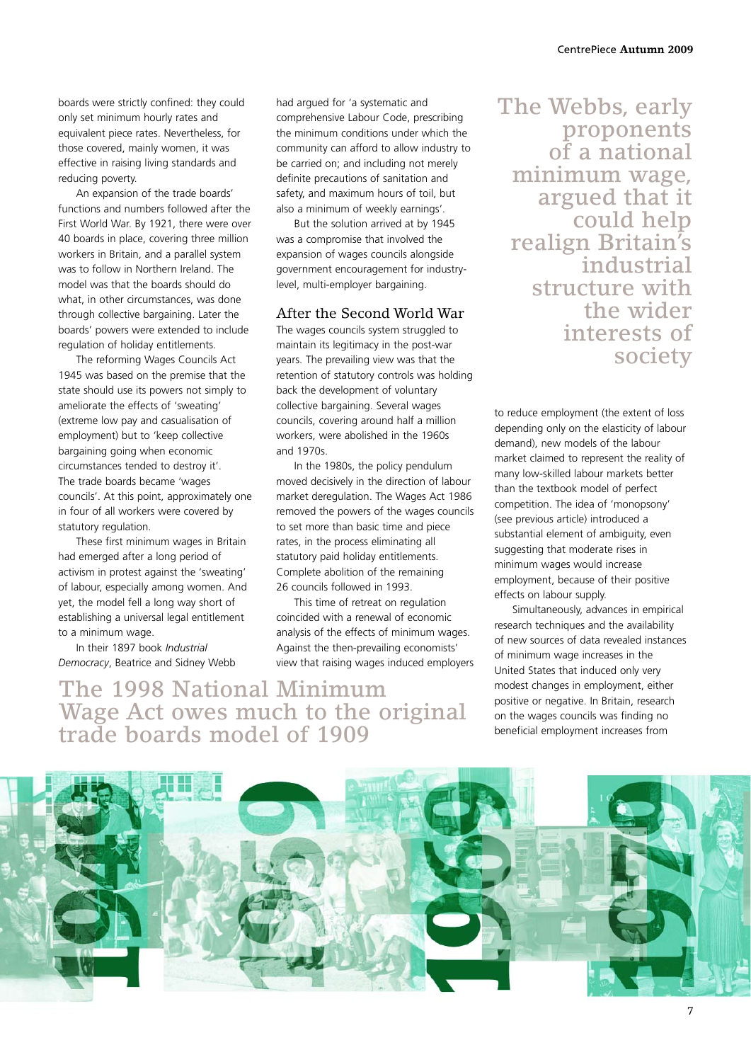boards were strictly confined: they could only set minimum hourly rates and equivalent piece rates. Nevertheless, for those covered, mainly women, it was effective in raising living standards and reducing poverty.

An expansion of the trade boards' functions and numbers followed after the First World War. By 1921, there were over 40 boards in place, covering three million workers in Britain, and a parallel system was to follow in Northern Ireland. The model was that the boards should do what, in other circumstances, was done through collective bargaining. Later the boards' powers were extended to include regulation of holiday entitlements.

The reforming Wages Councils Act 1945 was based on the premise that the state should use its powers not simply to ameliorate the effects of 'sweating' (extreme low pay and casualisation of employment) but to 'keep collective bargaining going when economic circumstances tended to destroy it'. The trade boards became 'wages councils'. At this point, approximately one in four of all workers were covered by statutory regulation.

These first minimum wages in Britain had emerged after a long period of activism in protest against the 'sweating' of labour, especially among women. And yet, the model fell a long way short of establishing a universal legal entitlement to a minimum wage.

In their 1897 book *Industrial Democracy*, Beatrice and Sidney Webb

The 1998 National Minimum

trade boards model of 1909

Wage Act owes much to the original

had argued for 'a systematic and comprehensive Labour Code, prescribing the minimum conditions under which the community can afford to allow industry to be carried on; and including not merely definite precautions of sanitation and safety, and maximum hours of toil, but also a minimum of weekly earnings'.

But the solution arrived at by 1945 was a compromise that involved the expansion of wages councils alongside government encouragement for industrylevel, multi-employer bargaining.

## After the Second World War

The wages councils system struggled to maintain its legitimacy in the post-war years. The prevailing view was that the retention of statutory controls was holding back the development of voluntary collective bargaining. Several wages councils, covering around half a million workers, were abolished in the 1960s and 1970s.

In the 1980s, the policy pendulum moved decisively in the direction of labour market deregulation. The Wages Act 1986 removed the powers of the wages councils to set more than basic time and piece rates, in the process eliminating all statutory paid holiday entitlements. Complete abolition of the remaining 26 councils followed in 1993.

This time of retreat on regulation coincided with a renewal of economic analysis of the effects of minimum wages. Against the then-prevailing economists' view that raising wages induced employers The Webbs, early proponents of a national minimum wage, argued that it could help realign Britain's industrial structure with the wider interests of society

to reduce employment (the extent of loss depending only on the elasticity of labour demand), new models of the labour market claimed to represent the reality of many low-skilled labour markets better than the textbook model of perfect competition. The idea of 'monopsony' (see previous article) introduced a substantial element of ambiguity, even suggesting that moderate rises in minimum wages would increase employment, because of their positive effects on labour supply.

Simultaneously, advances in empirical research techniques and the availability of new sources of data revealed instances of minimum wage increases in the United States that induced only very modest changes in employment, either positive or negative. In Britain, research on the wages councils was finding no beneficial employment increases from